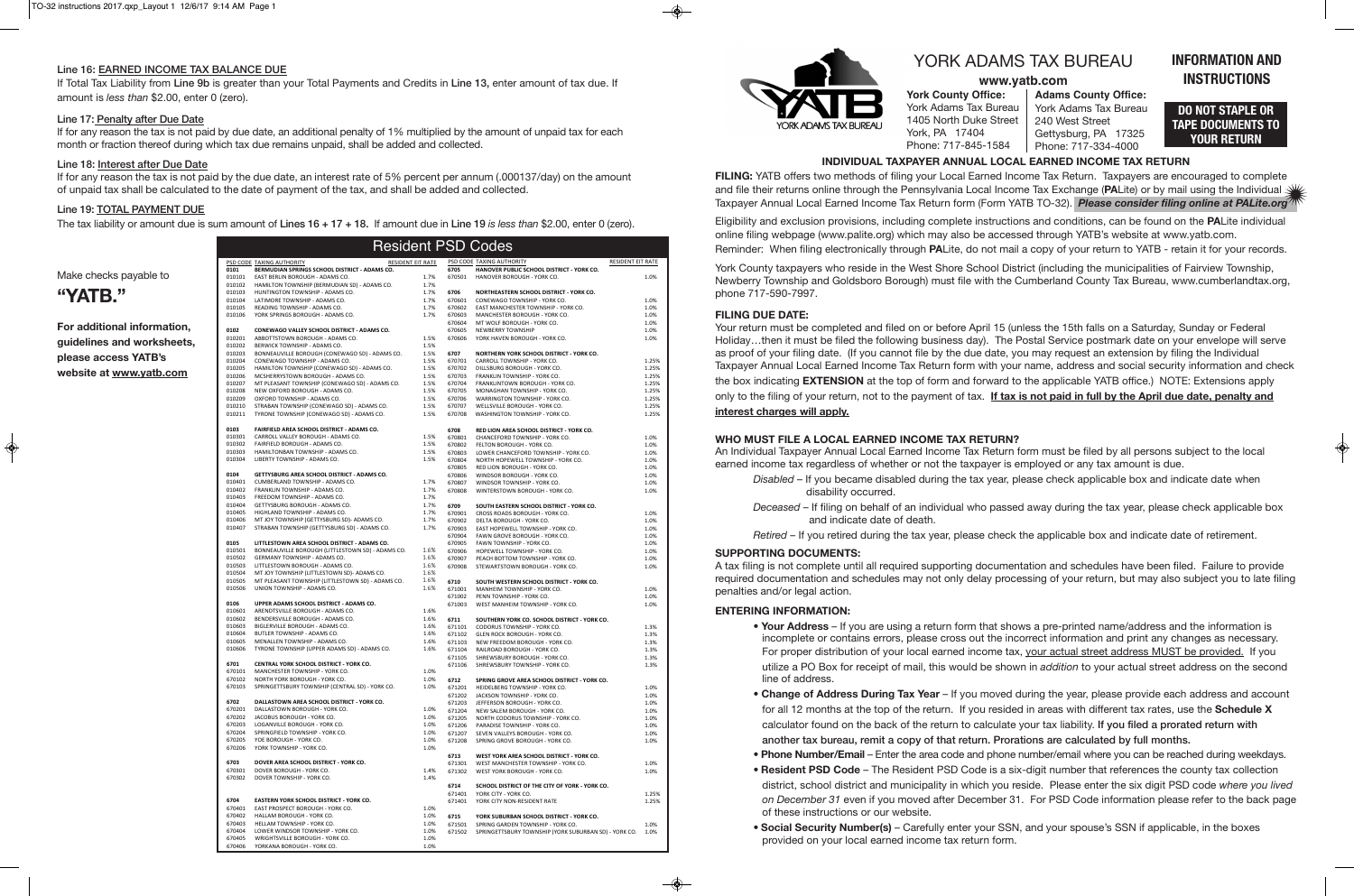**York County Office:** York Adams Tax Bureau 1405 North Duke Street York, PA 17404 Phone: 717-845-1584

## **INFORMATION AND INSTRUCTIONS**

**Adams County Office:** York Adams Tax Bureau 240 West Street Gettysburg, PA 17325 Phone: 717-334-4000

# YORK ADAMS TAX BUREAU

### **www.yatb.com**

#### Line 16: EARNED INCOME TAX BALANCE DUE

If Total Tax Liability from Line 9b is greater than your Total Payments and Credits in Line 13, enter amount of tax due. If amount is *less than* \$2.00, enter 0 (zero).

#### Line 17: Penalty after Due Date

If for any reason the tax is not paid by due date, an additional penalty of 1% multiplied by the amount of unpaid tax for each month or fraction thereof during which tax due remains unpaid, shall be added and collected.

#### Line 18: Interest after Due Date

If for any reason the tax is not paid by the due date, an interest rate of 5% percent per annum (.000137/day) on the amount of unpaid tax shall be calculated to the date of payment of the tax, and shall be added and collected.

#### Line 19: TOTAL PAYMENT DUE

The tax liability or amount due is sum amount of Lines 16 + 17 + 18. If amount due in Line 19 *is less than* \$2.00, enter 0 (zero).

#### Make checks payable to

# **"YaTB."**

**For additional information, guidelines and worksheets, please access YATB's website at www.yatb.com**

### **DO NOT STAPLE OR TAPE DOCUMENTS TO YOUR RETURN**

|                  |                                                                                  |                   |                  | $\cdots$ . The second $\cdots$ is the second $\cdots$ of $\cdots$ |                |
|------------------|----------------------------------------------------------------------------------|-------------------|------------------|-------------------------------------------------------------------|----------------|
|                  |                                                                                  |                   |                  | <b>Resident PSD Codes</b>                                         |                |
|                  | PSD CODE TAXING AUTHORITY                                                        | RESIDENT EIT RATE |                  | PSD CODE TAXING AUTHORITY<br>RESIDENT EIT RATE                    |                |
| 0101             | BERMUDIAN SPRINGS SCHOOL DISTRICT - ADAMS CO.                                    |                   | 6705             | HANOVER PUBLIC SCHOOL DISTRICT - YORK CO.                         |                |
| 010101           | EAST BERLIN BOROUGH - ADAMS CO.                                                  | 1.7%              | 670501           | HANOVER BOROUGH - YORK CO.                                        | 1.0%           |
| 010102           | HAMILTON TOWNSHIP (BERMUDIAN SD) - ADAMS CO.                                     | 1.7%              |                  |                                                                   |                |
| 010103           | HUNTINGTON TOWNSHIP - ADAMS CO.                                                  | 1.7%              | 6706             | NORTHEASTERN SCHOOL DISTRICT - YORK CO.                           |                |
| 010104           | LATIMORE TOWNSHIP - ADAMS CO.                                                    | 1.7%              | 670601           | CONEWAGO TOWNSHIP - YORK CO.                                      | 1.0%           |
| 010105           | READING TOWNSHIP - ADAMS CO.                                                     | 1.7%              | 670602           | EAST MANCHESTER TOWNSHIP - YORK CO.                               | 1.0%           |
| 010106           | YORK SPRINGS BOROUGH - ADAMS CO.                                                 | 1.7%              | 670603           | MANCHESTER BOROUGH - YORK CO.                                     | 1.0%           |
|                  |                                                                                  |                   | 670604           | MT WOLF BOROUGH - YORK CO.                                        | 1.0%           |
| 0102             | CONEWAGO VALLEY SCHOOL DISTRICT - ADAMS CO.                                      |                   | 670605           | NEWBERRY TOWNSHIP                                                 | 1.0%           |
| 010201           | ABBOTTSTOWN BOROUGH - ADAMS CO.                                                  | 1.5%              | 670606           | YORK HAVEN BOROUGH - YORK CO.                                     | 1.0%           |
| 010202           | BERWICK TOWNSHIP - ADAMS CO.                                                     | 1.5%              |                  |                                                                   |                |
| 010203           | BONNEAUVILLE BOROUGH (CONEWAGO SD) - ADAMS CO.                                   | 1.5%              | 6707<br>670701   | NORTHERN YORK SCHOOL DISTRICT - YORK CO.                          |                |
| 010204           | CONEWAGO TOWNSHIP - ADAMS CO.                                                    | 1.5%              | 670702           | CARROLL TOWNSHIP - YORK CO.<br>DILLSBURG BOROUGH - YORK CO.       | 1.25%          |
| 010205           | HAMILTON TOWNSHIP (CONEWAGO SD) - ADAMS CO.<br>MCSHERRYSTOWN BOROUGH - ADAMS CO. | 1.5%              | 670703           |                                                                   | 1.25%          |
| 010206           |                                                                                  | 1.5%              | 670704           | FRANKLIN TOWNSHIP - YORK CO.<br>FRANKLINTOWN BOROUGH - YORK CO.   | 1.25%          |
| 010207<br>010208 | MT PLEASANT TOWNSHIP (CONEWAGO SD) - ADAMS CO.<br>NEW OXFORD BOROUGH - ADAMS CO. | 1.5%<br>1.5%      | 670705           | MONAGHAN TOWNSHIP - YORK CO.                                      | 1.25%<br>1.25% |
| 010209           | OXFORD TOWNSHIP - ADAMS CO.                                                      | 1.5%              | 670706           | WARRINGTON TOWNSHIP - YORK CO.                                    | 1.25%          |
| 010210           | STRABAN TOWNSHIP (CONEWAGO SD) - ADAMS CO.                                       | 1.5%              | 670707           | WELLSVILLE BOROUGH - YORK CO.                                     | 1.25%          |
| 010211           | TYRONE TOWNSHIP (CONEWAGO SD) - ADAMS CO.                                        | 1.5%              | 670708           | WASHINGTON TOWNSHIP - YORK CO.                                    | 1.25%          |
|                  |                                                                                  |                   |                  |                                                                   |                |
| 0103             | FAIRFIELD AREA SCHOOL DISTRICT - ADAMS CO.                                       |                   | 6708             | RED LION AREA SCHOOL DISTRICT - YORK CO.                          |                |
| 010301           | CARROLL VALLEY BOROUGH - ADAMS CO.                                               | 1.5%              | 670801           | CHANCEFORD TOWNSHIP - YORK CO.                                    | 1.0%           |
| 010302           | FAIRFIELD BOROUGH - ADAMS CO.                                                    | 1.5%              | 670802           | FELTON BOROUGH - YORK CO.                                         | 1.0%           |
| 010303           | HAMILTONBAN TOWNSHIP - ADAMS CO.                                                 | 1.5%              | 670803           | LOWER CHANCEFORD TOWNSHIP - YORK CO.                              | 1.0%           |
| 010304           | LIBERTY TOWNSHIP - ADAMS CO.                                                     | 1.5%              | 670804           | NORTH HOPEWELL TOWNSHIP - YORK CO.                                | 1.0%           |
|                  |                                                                                  |                   | 670805           | RED LION BOROUGH - YORK CO.                                       | 1.0%           |
| 0104             | GETTYSBURG AREA SCHOOL DISTRICT - ADAMS CO.                                      |                   | 670806           | WINDSOR BOROUGH - YORK CO.                                        | 1.0%           |
| 010401           | CUMBERLAND TOWNSHIP - ADAMS CO.                                                  | 1.7%              | 670807           | WINDSOR TOWNSHIP - YORK CO.                                       | 1.0%           |
| 010402           | FRANKLIN TOWNSHIP - ADAMS CO.                                                    | 1.7%              | 670808           | WINTERSTOWN BOROUGH - YORK CO.                                    | 1.0%           |
| 010403           | FREEDOM TOWNSHIP - ADAMS CO.                                                     | 1.7%              |                  |                                                                   |                |
| 010404           | GETTYSBURG BOROUGH - ADAMS CO.                                                   | 1.7%              | 6709             | SOUTH EASTERN SCHOOL DISTRICT - YORK CO.                          |                |
| 010405<br>010406 | HIGHLAND TOWNSHIP - ADAMS CO.<br>MT JOY TOWNSHIP (GETTYSBURG SD)- ADAMS CO.      | 1.7%<br>1.7%      | 670901           | CROSS ROADS BOROUGH - YORK CO.                                    | 1.0%           |
| 010407           | STRABAN TOWNSHIP (GETTYSBURG SD) - ADAMS CO.                                     | 1.7%              | 670902           | DELTA BOROUGH - YORK CO.                                          | 1.0%           |
|                  |                                                                                  |                   | 670903           | EAST HOPEWELL TOWNSHIP - YORK CO.                                 | 1.0%           |
| 0105             | LITTLESTOWN AREA SCHOOL DISTRICT - ADAMS CO.                                     |                   | 670904           | FAWN GROVE BOROUGH - YORK CO.                                     | 1.0%           |
| 010501           | BONNEAUVILLE BOROUGH (LITTLESTOWN SD) - ADAMS CO.                                | 1.6%              | 670905           | FAWN TOWNSHIP - YORK CO.                                          | 1.0%           |
| 010502           | GERMANY TOWNSHIP - ADAMS CO.                                                     | 1.6%              | 670906<br>670907 | HOPEWELL TOWNSHIP - YORK CO.<br>PEACH BOTTOM TOWNSHIP - YORK CO.  | 1.0%<br>1.0%   |
| 010503           | LITTLESTOWN BOROUGH - ADAMS CO.                                                  | 1.6%              | 670908           | STEWARTSTOWN BOROUGH - YORK CO.                                   | 1.0%           |
| 010504           | MT JOY TOWNSHIP (LITTLESTOWN SD)- ADAMS CO.                                      | 1.6%              |                  |                                                                   |                |
| 010505           | MT PLEASANT TOWNSHIP (LITTLESTOWN SD) - ADAMS CO.                                | 1.6%              | 6710             | SOUTH WESTERN SCHOOL DISTRICT - YORK CO.                          |                |
| 010506           | UNION TOWNSHIP - ADAMS CO.                                                       | 1.6%              | 671001           | MANHEIM TOWNSHIP - YORK CO.                                       | 1.0%           |
|                  |                                                                                  |                   | 671002           | PENN TOWNSHIP - YORK CO.                                          | 1.0%           |
| 0106             | UPPER ADAMS SCHOOL DISTRICT - ADAMS CO.                                          |                   | 671003           | WEST MANHEIM TOWNSHIP - YORK CO.                                  | 1.0%           |
| 010601           | ARENDTSVILLE BOROUGH - ADAMS CO.                                                 | 1.6%              |                  |                                                                   |                |
| 010602           | BENDERSVILLE BOROUGH - ADAMS CO.                                                 | 1.6%              | 6711             | SOUTHERN YORK CO. SCHOOL DISTRICT - YORK CO.                      |                |
| 010603           | BIGLERVILLE BOROUGH - ADAMS CO.                                                  | 1.6%              | 671101           | CODORUS TOWNSHIP - YORK CO.                                       | 1.3%           |
| 010604           | BUTLER TOWNSHIP - ADAMS CO.                                                      | 1.6%              | 671102           | GLEN ROCK BOROUGH - YORK CO.                                      | 1.3%           |
| 010605           | MENALLEN TOWNSHIP - ADAMS CO.                                                    | 1.6%              | 671103           | NEW FREEDOM BOROUGH - YORK CO.                                    | 1.3%           |
| 010606           | TYRONE TOWNSHIP (UPPER ADAMS SD) - ADAMS CO.                                     | 1.6%              | 671104           | RAILROAD BOROUGH - YORK CO.                                       | 1.3%           |
|                  |                                                                                  |                   | 671105           | SHREWSBURY BOROUGH - YORK CO.                                     | 1.3%           |
| 6701             | CENTRAL YORK SCHOOL DISTRICT - YORK CO.                                          |                   | 671106           | SHREWSBURY TOWNSHIP - YORK CO.                                    | 1.3%           |
| 670101           | MANCHESTER TOWNSHIP - YORK CO.                                                   | 1.0%              |                  |                                                                   |                |
| 670102           | NORTH YORK BOROUGH - YORK CO.                                                    | 1.0%              | 6712             | SPRING GROVE AREA SCHOOL DISTRICT - YORK CO.                      |                |
| 670103           | SPRINGETTSBURY TOWNSHIP (CENTRAL SD) - YORK CO.                                  | 1.0%              | 671201           | HEIDELBERG TOWNSHIP - YORK CO.                                    | 1.0%           |
|                  |                                                                                  |                   | 671202           | JACKSON TOWNSHIP - YORK CO.                                       | 1.0%           |
| 6702             | DALLASTOWN AREA SCHOOL DISTRICT - YORK CO.                                       |                   | 671203           | JEFFERSON BOROUGH - YORK CO.                                      | 1.0%           |
| 670201           | DALLASTOWN BOROUGH - YORK CO.                                                    | 1.0%              | 671204           | NEW SALEM BOROUGH - YORK CO.                                      | 1.0%           |
| 670202           | JACOBUS BOROUGH - YORK CO.                                                       | 1.0%              | 671205           | NORTH CODORUS TOWNSHIP - YORK CO.                                 | 1.0%           |
| 670203           | LOGANVILLE BOROUGH - YORK CO.                                                    | 1.0%              | 671206           | PARADISE TOWNSHIP - YORK CO.                                      | 1.0%           |
| 670204           | SPRINGFIELD TOWNSHIP - YORK CO.                                                  | 1.0%              | 671207           | SEVEN VALLEYS BOROUGH - YORK CO.                                  | 1.0%           |
| 670205           | YOE BOROUGH - YORK CO.                                                           | 1.0%              | 671208           | SPRING GROVE BOROUGH - YORK CO.                                   | 1.0%           |
| 670206           | YORK TOWNSHIP - YORK CO.                                                         | 1.0%              | 6713             | WEST YORK AREA SCHOOL DISTRICT - YORK CO.                         |                |
| 6703             | DOVER AREA SCHOOL DISTRICT - YORK CO.                                            |                   | 671301           | WEST MANCHESTER TOWNSHIP - YORK CO.                               | 1.0%           |
| 670301           | DOVER BOROUGH - YORK CO.                                                         | 1.4%              | 671302           | WEST YORK BOROUGH - YORK CO.                                      | 1.0%           |
| 670302           | DOVER TOWNSHIP - YORK CO.                                                        | 1.4%              |                  |                                                                   |                |
|                  |                                                                                  |                   | 6714             | SCHOOL DISTRICT OF THE CITY OF YORK - YORK CO.                    |                |
|                  |                                                                                  |                   | 671401           | YORK CITY - YORK CO.                                              | 1.25%          |
| 6704             | EASTERN YORK SCHOOL DISTRICT - YORK CO.                                          |                   | 671401           | YORK CITY NON-RESIDENT RATE                                       | 1.25%          |
| 670401           | EAST PROSPECT BOROUGH - YORK CO.                                                 | 1.0%              |                  |                                                                   |                |
| 670402           | HALLAM BOROUGH - YORK CO.                                                        | 1.0%              | 6715             | YORK SUBURBAN SCHOOL DISTRICT - YORK CO.                          |                |
| 670403           | HELLAM TOWNSHIP - YORK CO.                                                       | 1.0%              | 671501           | SPRING GARDEN TOWNSHIP - YORK CO.                                 | 1.0%           |
| 670404           | LOWER WINDSOR TOWNSHIP - YORK CO.                                                | 1.0%              | 671502           | SPRINGETTSBURY TOWNSHIP (YORK SUBURBAN SD) - YORK CO.             | 1.0%           |
| 670405           | WRIGHTSVILLE BOROUGH - YORK CO.                                                  | 1.0%              |                  |                                                                   |                |
| 670406           | YORKANA BOROUGH - YORK CO.                                                       | 1.0%              |                  |                                                                   |                |



### **IndIvIdual TaXPaYER annual lOCal EaRnEd InCOME TaX RETuRn**

**FIlInG:** YATB offers two methods of filing your Local Earned Income Tax Return. Taxpayers are encouraged to complete and file their returns online through the Pennsylvania Local Income Tax Exchange (**Pa**Lite) or by mail using the Individual Taxpayer Annual Local Earned Income Tax Return form (Form YATB TO-32). *Please consider filing online at PALite.org*

Eligibility and exclusion provisions, including complete instructions and conditions, can be found on the **Pa**Lite individual online filing webpage (www.palite.org) which may also be accessed through YATB's website at www.yatb.com. Reminder: When filing electronically through **Pa**Lite, do not mail a copy of your return to YATB - retain it for your records.

York County taxpayers who reside in the West Shore School District (including the municipalities of Fairview Township, Newberry Township and Goldsboro Borough) must file with the Cumberland County Tax Bureau, www.cumberlandtax.org, phone 717-590-7997.

#### **FIlInG duE daTE:**

Your return must be completed and filed on or before April 15 (unless the 15th falls on a Saturday, Sunday or Federal Holiday…then it must be filed the following business day). The Postal Service postmark date on your envelope will serve as proof of your filing date. (If you cannot file by the due date, you may request an extension by filing the Individual Taxpayer Annual Local Earned Income Tax Return form with your name, address and social security information and check the box indicating **EXTEnSIOn** at the top of form and forward to the applicable YATB office.) NOTE: Extensions apply only to the filing of your return, not to the payment of tax. **If tax is not paid in full by the april due date, penalty and interest charges will apply.**

#### **WHO MuST FIlE a lOCal EaRnEd InCOME TaX RETuRn?**

An Individual Taxpayer Annual Local Earned Income Tax Return form must be filed by all persons subject to the local earned income tax regardless of whether or not the taxpayer is employed or any tax amount is due.

*Disabled* – If you became disabled during the tax year, please check applicable box and indicate date when

*Deceased* – If filing on behalf of an individual who passed away during the tax year, please check applicable box

- disability occurred.
- and indicate date of death.
- 

*Retired* – If you retired during the tax year, please check the applicable box and indicate date of retirement.

#### **SuPPORTInG dOCuMEnTS:**

A tax filing is not complete until all required supporting documentation and schedules have been filed. Failure to provide required documentation and schedules may not only delay processing of your return, but may also subject you to late filing penalties and/or legal action.

### **EnTERInG InFORMaTIOn:**

• **Your Address** – If you are using a return form that shows a pre-printed name/address and the information is incomplete or contains errors, please cross out the incorrect information and print any changes as necessary. For proper distribution of your local earned income tax, your actual street address MUST be provided. If you utilize a PO Box for receipt of mail, this would be shown in *addition* to your actual street address on the second

• **Change of Address During Tax Year** – If you moved during the year, please provide each address and account for all 12 months at the top of the return. If you resided in areas with different tax rates, use the **Schedule X** calculator found on the back of the return to calculate your tax liability. If you filed a prorated return with

- line of address.
- another tax bureau, remit a copy of that return. Prorations are calculated by full months.
- 
- of these instructions or our website.
- provided on your local earned income tax return form.

• **Phone Number/Email** – Enter the area code and phone number/email where you can be reached during weekdays. • **Resident PSD Code** – The Resident PSD Code is a six-digit number that references the county tax collection district, school district and municipality in which you reside. Please enter the six digit PSD code *where you lived on December 31* even if you moved after December 31. For PSD Code information please refer to the back page

• **Social Security Number(s)** – Carefully enter your SSN, and your spouse's SSN if applicable, in the boxes